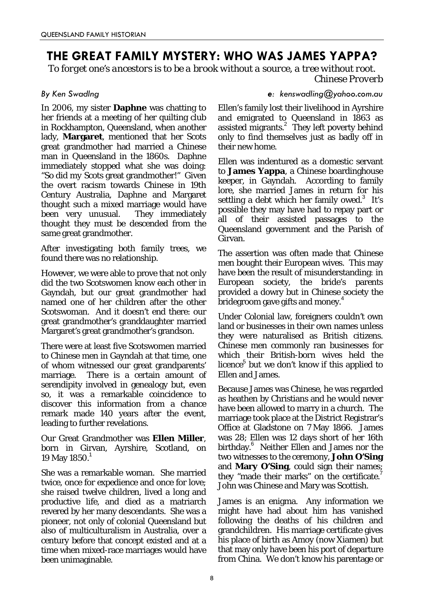# **THE GREAT FAMILY MYSTERY: WHO WAS JAMES YAPPA?**

*To forget one's ancestors is to be a brook without a source, a tree without root. Chinese Proverb*

In 2006, my sister **Daphne** was chatting to her friends at a meeting of her quilting club in Rockhampton, Queensland, when another lady, **Margaret**, mentioned that her Scots great grandmother had married a Chinese man in Queensland in the 1860s. Daphne immediately stopped what she was doing: "So did *my* Scots great grandmother!" Given the overt racism towards Chinese in 19th Century Australia, Daphne and Margaret thought such a mixed marriage would have been very unusual. They immediately thought they must be descended from the same great grandmother.

After investigating both family trees, we found there was no relationship.

However, we were able to prove that not only did the two Scotswomen know each other in Gayndah, but our great grandmother had named one of her children after the other Scotswoman. And it doesn't end there: our great grandmother's granddaughter married Margaret's great grandmother's grandson.

There were at least five Scotswomen married to Chinese men in Gayndah at that time, one of whom witnessed our great grandparents' marriage. There is a certain amount of serendipity involved in genealogy but, even so, it was a remarkable coincidence to discover this information from a chance remark made 140 years after the event, leading to further revelations.

Our Great Grandmother was **Ellen Miller**, born in Girvan, Ayrshire, Scotland, on 19 May 1850.<sup>1</sup>

She was a remarkable woman. She married twice, once for expedience and once for love; she raised twelve children, lived a long and productive life, and died as a matriarch revered by her many descendants. She was a pioneer, not only of colonial Queensland but also of multiculturalism in Australia, over a century before that concept existed and at a time when mixed-race marriages would have been unimaginable.

# *By Ken Swadlng e: kenswadling@yahoo.com.au*

Ellen's family lost their livelihood in Ayrshire and emigrated to Queensland in 1863 as assisted migrants.<sup>2</sup> They left poverty behind only to find themselves just as badly off in their new home.

Ellen was indentured as a domestic servant to **James Yappa**, a Chinese boardinghouse keeper, in Gayndah. According to family lore, she married James in return for his settling a debt which her family owed. $3$  It's possible they may have had to repay part or all of their assisted passages to the Queensland government and the Parish of Girvan.

The assertion was often made that Chinese men bought their European wives. This may have been the result of misunderstanding: in European society, the bride's parents provided a dowry but in Chinese society the  $\stackrel{\text{\scriptsize{\textbf{b}}}}{\text{\scriptsize{\textbf{b}}} }$ ridegroom gave gifts and money. $^4$ 

Under Colonial law, foreigners couldn't own land or businesses in their own names unless they were naturalised as British citizens. Chinese men commonly ran businesses for which their British-born wives held the licence<sup>5</sup> but we don't know if this applied to Ellen and James.

Because James was Chinese, he was regarded as heathen by Christians and he would never have been allowed to marry in a church. The marriage took place at the District Registrar's Office at Gladstone on 7 May 1866. James was 28; Ellen was 12 days short of her 16th birthday.<sup>6</sup> Neither Ellen and James nor the two witnesses to the ceremony, **John O'Sing** and **Mary O'Sing**, could sign their names; they "made their marks" on the certificate.<sup>7</sup> John was Chinese and Mary was Scottish.

James is an enigma. Any information we might have had about him has vanished following the deaths of his children and grandchildren. His marriage certificate gives his place of birth as Amoy (now Xiamen) but that may only have been his port of departure from China. We don't know his parentage or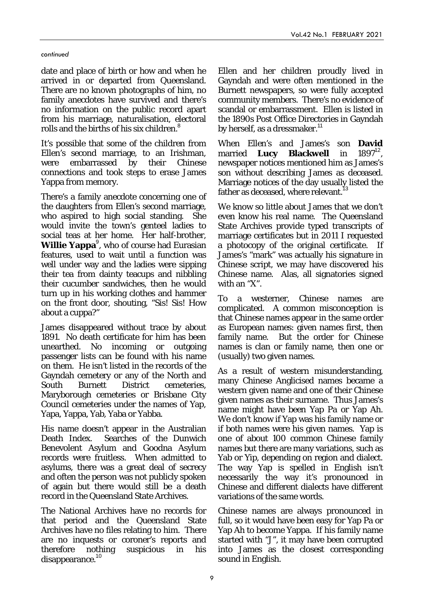### *continued*

date and place of birth or how and when he arrived in or departed from Queensland. There are no known photographs of him, no family anecdotes have survived and there's no information on the public record apart from his marriage, naturalisation, electoral rolls and the births of his six children.<sup>8</sup>

It's possible that some of the children from Ellen's second marriage, to an Irishman, were embarrassed by their Chinese connections and took steps to erase James Yappa from memory.

There's a family anecdote concerning one of the daughters from Ellen's second marriage, who aspired to high social standing. She would invite the town's genteel ladies to social teas at her home. Her half-brother, **Willie Yappa**<sup>9</sup>, who of course had Eurasian features, used to wait until a function was well under way and the ladies were sipping their tea from dainty teacups and nibbling their cucumber sandwiches, then he would turn up in his working clothes and hammer on the front door, shouting, "Sis! Sis! How about a cuppa?"

James disappeared without trace by about 1891. No death certificate for him has been unearthed. No incoming or outgoing passenger lists can be found with his name on them. He isn't listed in the records of the Gayndah cemetery or any of the North and South Burnett District cemeteries, Maryborough cemeteries or Brisbane City Council cemeteries under the names of Yap, Yapa, Yappa, Yab, Yaba or Yabba.

His name doesn't appear in the Australian Death Index. Searches of the Dunwich Benevolent Asylum and Goodna Asylum records were fruitless. When admitted to asylums, there was a great deal of secrecy and often the person was not publicly spoken of again but there would still be a death record in the Queensland State Archives.

The National Archives have no records for that period and the Queensland State Archives have no files relating to him. There are no inquests or coroner's reports and therefore nothing suspicious in his  $disappearance.<sup>10</sup>$ 

Ellen and her children proudly lived in Gayndah and were often mentioned in the Burnett newspapers, so were fully accepted community members. There's no evidence of scandal or embarrassment. Ellen is listed in the 1890s Post Office Directories in Gayndah by herself, as a dressmaker.<sup>11</sup>

When Ellen's and James's son **David** married **Lucy Blackwell** in newspaper notices mentioned him as James's son without describing James as deceased. Marriage notices of the day usually listed the father as deceased, where relevant.

We know so little about James that we don't even know his real name. The Queensland State Archives provide typed transcripts of marriage certificates but in 2011 I requested a photocopy of the original certificate. If James's "mark" was actually his signature in Chinese script, we may have discovered his Chinese name. Alas, all signatories signed with an "X".

To a westerner, Chinese names are complicated. A common misconception is that Chinese names appear in the same order as European names: given names first, then family name. But the order for Chinese names is clan or family name, then one or (usually) two given names.

As a result of western misunderstanding, many Chinese Anglicised names became a western given name and one of their Chinese given names as their surname. Thus James's name might have been Yap Pa or Yap Ah. We don't know if Yap was his family name or if both names were his given names. Yap is one of about 100 common Chinese family names but there are many variations, such as Yab or Yip, depending on region and dialect. The way Yap is spelled in English isn't necessarily the way it's pronounced in Chinese and different dialects have different variations of the same words.

Chinese names are always pronounced in full, so it would have been easy for Yap Pa or Yap Ah to become Yappa. If his family name started with "J", it may have been corrupted into James as the closest corresponding sound in English.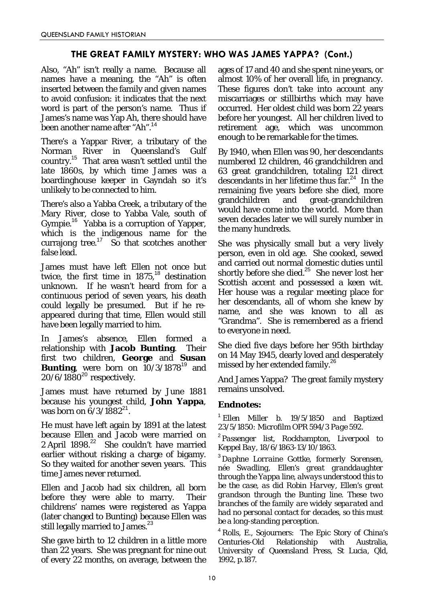# **THE GREAT FAMILY MYSTERY: WHO WAS JAMES YAPPA? (Cont.)**

Also, "Ah" isn't really a name. Because all names have a meaning, the "Ah" is often inserted between the family and given names to avoid confusion: it indicates that the next word is part of the person's name. Thus if James's name was Yap Ah, there should have been another name after "Ah".<sup>14</sup>

There's a Yappar River, a tributary of the Norman River in Queensland's Gulf country.<sup>15</sup> That area wasn't settled until the late 1860s, by which time James was a boardinghouse keeper in Gayndah so it's unlikely to be connected to him.

There's also a Yabba Creek, a tributary of the Mary River, close to Yabba Vale, south of Gympie.<sup>16</sup> Yabba is a corruption of Yapper, which is the indigenous name for the currajong tree. $17$  So that scotches another false lead.

James must have left Ellen not once but twice, the first time in  $1875$ ,  $^{18}$  destination unknown. If he wasn't heard from for a continuous period of seven years, his death could legally be presumed. But if he reappeared during that time, Ellen would still have been legally married to him.

In James's absence, Ellen formed a relationship with **Jacob Bunting**. Their first two children, **George** and **Susan Bunting**, were born on  $10/3/1878^{19}$  and  $20/6/1880^{20}$  respectively.

James must have returned by June 1881 because his youngest child, **John Yappa**, was born on  $6/3/1882^{21}$ .

He must have left again by 1891 at the latest because Ellen and Jacob were married on 2 April 1898.<sup>22</sup> She couldn't have married earlier without risking a charge of bigamy. So they waited for another seven years. This time James never returned.

Ellen and Jacob had six children, all born before they were able to marry. Their childrens' names were registered as Yappa (later changed to Bunting) because Ellen was still legally married to James.<sup>23</sup>

She gave birth to 12 children in a little more than 22 years. She was pregnant for nine out of every 22 months, on average, between the ages of 17 and 40 and she spent nine years, or almost 10% of her overall life, in pregnancy. These figures don't take into account any miscarriages or stillbirths which may have occurred. Her oldest child was born 22 years before her youngest. All her children lived to retirement age, which was uncommon enough to be remarkable for the times.

By 1940, when Ellen was 90, her descendants numbered 12 children, 46 grandchildren and 63 great grandchildren, totaling 121 direct descendants in her lifetime thus far. 24 In the remaining five years before she died, more grandchildren and great-grandchildren would have come into the world. More than seven decades later we will surely number in the many hundreds.

She was physically small but a very lively person, even in old age. She cooked, sewed and carried out normal domestic duties until shortly before she died.<sup>25</sup> She never lost her Scottish accent and possessed a keen wit. Her house was a regular meeting place for her descendants, all of whom she knew by name, and she was known to all as "Grandma". She is remembered as a friend to everyone in need.

She died five days before her 95th birthday on 14 May 1945, dearly loved and desperately missed by her extended family.<sup>26</sup>

And James Yappa? The great family mystery remains unsolved.

## *Endnotes:*

<sup>1</sup> *Ellen Miller b. 19/5/1850 and Baptized 23/5/1850: Microfilm OPR 594/3 Page 592.*

<sup>2</sup> *Passenger list,* Rockhampton*, Liverpool to Keppel Bay, 18/6/1863-13/10/1863.*

<sup>3</sup> *Daphne Lorraine Gottke, formerly Sorensen, née Swadling, Ellen's great granddaughter through the Yappa line, always understood this to be the case, as did Robin Harvey, Ellen's great grandson through the Bunting line. These two branches of the family are widely separated and had no personal contact for decades, so this must be a long-standing perception.*

<sup>4</sup> *Rolls, E.,* Sojourners: The Epic Story of China's Centuries-Old Relationship with Australia*, University of Queensland Press, St Lucia, Qld, 1992, p.187.*